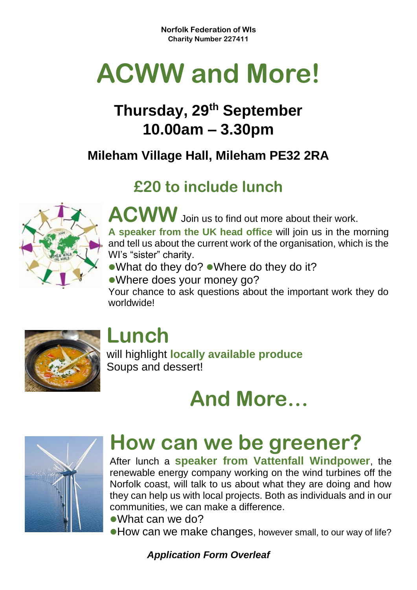**Norfolk Federation of WIs Charity Number 227411**

# **ACWW and More!**

### **Thursday, 29th September 10.00am – 3.30pm**

#### **Mileham Village Hall, Mileham PE32 2RA**

### **£20 to include lunch**



**ACWW** Join us to find out more about their work.

**A speaker from the UK head office** will join us in the morning and tell us about the current work of the organisation, which is the WI's "sister" charity.

●What do they do? ●Where do they do it?

⚫Where does your money go? Your chance to ask questions about the important work they do worldwide!



### **Lunch**

will highlight **locally available produce** Soups and dessert!

**And More…**



## **How can we be greener?**

After lunch a **speaker from Vattenfall Windpower**, the renewable energy company working on the wind turbines off the Norfolk coast, will talk to us about what they are doing and how they can help us with local projects. Both as individuals and in our communities, we can make a difference.

⚫What can we do?

● How can we make changes, however small, to our way of life?

*Application Form Overleaf*